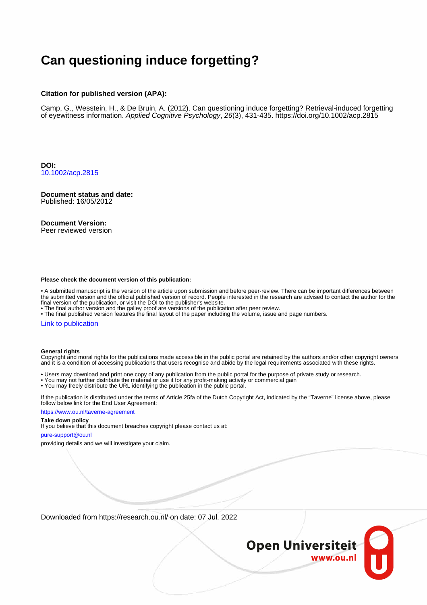# **Can questioning induce forgetting?**

## **Citation for published version (APA):**

Camp, G., Wesstein, H., & De Bruin, A. (2012). Can questioning induce forgetting? Retrieval-induced forgetting of eyewitness information. Applied Cognitive Psychology, 26(3), 431-435. <https://doi.org/10.1002/acp.2815>

**DOI:** [10.1002/acp.2815](https://doi.org/10.1002/acp.2815)

#### **Document status and date:** Published: 16/05/2012

# **Document Version:**

Peer reviewed version

#### **Please check the document version of this publication:**

• A submitted manuscript is the version of the article upon submission and before peer-review. There can be important differences between the submitted version and the official published version of record. People interested in the research are advised to contact the author for the final version of the publication, or visit the DOI to the publisher's website.

• The final author version and the galley proof are versions of the publication after peer review.

• The final published version features the final layout of the paper including the volume, issue and page numbers.

# [Link to publication](https://research.ou.nl/en/publications/7d854463-7ed5-4fe9-9c32-fd59ebbe8c8e)

#### **General rights**

Copyright and moral rights for the publications made accessible in the public portal are retained by the authors and/or other copyright owners and it is a condition of accessing publications that users recognise and abide by the legal requirements associated with these rights.

- Users may download and print one copy of any publication from the public portal for the purpose of private study or research.
- You may not further distribute the material or use it for any profit-making activity or commercial gain
- You may freely distribute the URL identifying the publication in the public portal.

If the publication is distributed under the terms of Article 25fa of the Dutch Copyright Act, indicated by the "Taverne" license above, please follow below link for the End User Agreement:

#### https://www.ou.nl/taverne-agreement

# **Take down policy**

If you believe that this document breaches copyright please contact us at:

#### pure-support@ou.nl

providing details and we will investigate your claim.

Downloaded from https://research.ou.nl/ on date: 07 Jul. 2022

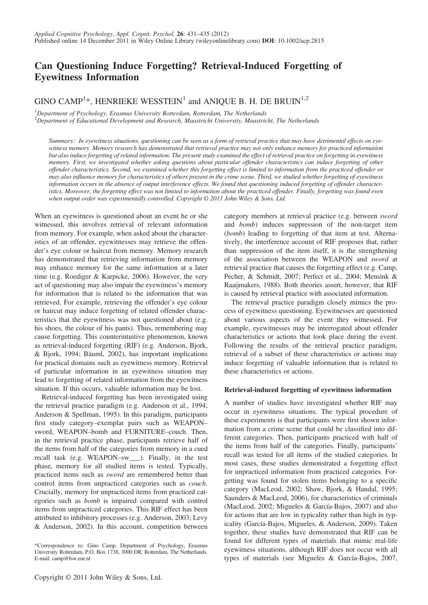# Can Questioning Induce Forgetting? Retrieval-Induced Forgetting of Eyewitness Information

# GINO CAMP<sup>1</sup>\*, HENRIEKE WESSTEIN<sup>1</sup> and ANIQUE B. H. DE BRUIN<sup>1,2</sup>

 ${}^{1}$ Department of Psychology, Erasmus University Rotterdam, Rotterdam, The Netherlands

 $^{2}$ Department of Educational Development and Research, Maastricht University, Maastricht, The Netherlands

Summary: In eyewitness situations, questioning can be seen as a form of retrieval practice that may have detrimental effects on eyewitness memory. Memory research has demonstrated that retrieval practice may not only enhance memory for practiced information but also induce forgetting of related information. The present study examined the effect of retrieval practice on forgetting in eyewitness memory. First, we investigated whether asking questions about particular offender characteristics can induce forgetting of other offender characteristics. Second, we examined whether this forgetting effect is limited to information from the practiced offender or may also influence memory for characteristics of others present in the crime scene. Third, we studied whether forgetting of eyewitness information occurs in the absence of output interference effects. We found that questioning induced forgetting of offender characteristics. Moreover, the forgetting effect was not limited to information about the practiced offender. Finally, forgetting was found even when output order was experimentally controlled. Copyright  $\odot$  2011 John Wiley & Sons, Ltd.

When an eyewitness is questioned about an event he or she witnessed, this involves retrieval of relevant information from memory. For example, when asked about the characteristics of an offender, eyewitnesses may retrieve the offender's eye colour or haircut from memory. Memory research has demonstrated that retrieving information from memory may enhance memory for the same information at a later time (e.g. Roediger & Karpicke, 2006). However, the very act of questioning may also impair the eyewitness's memory for information that is related to the information that was retrieved. For example, retrieving the offender's eye colour or haircut may induce forgetting of related offender characteristics that the eyewitness was not questioned about (e.g. his shoes, the colour of his pants). Thus, remembering may cause forgetting. This counterintuitive phenomenon, known as retrieval-induced forgetting (RIF) (e.g. Anderson, Bjork, & Bjork, 1994; Bäuml, 2002), has important implications for practical domains such as eyewitness memory. Retrieval of particular information in an eyewitness situation may lead to forgetting of related information from the eyewitness situation. If this occurs, valuable information may be lost.

Retrieval-induced forgetting has been investigated using the retrieval practice paradigm (e.g. Anderson et al., 1994; Anderson & Spellman, 1995). In this paradigm, participants first study category–exemplar pairs such as WEAPON– sword, WEAPON–bomb and FURNITURE–couch. Then, in the retrieval practice phase, participants retrieve half of the items from half of the categories from memory in a cued recall task (e.g. WEAPON–sw\_\_\_). Finally, in the test phase, memory for all studied items is tested. Typically, practiced items such as sword are remembered better than control items from unpracticed categories such as couch. Crucially, memory for unpracticed items from practiced categories such as bomb is impaired compared with control items from unpracticed categories. This RIF effect has been attributed to inhibitory processes (e.g. Anderson, 2003; Levy & Anderson, 2002). In this account, competition between category members at retrieval practice (e.g. between sword and bomb) induces suppression of the non-target item (bomb) leading to forgetting of that item at test. Alternatively, the interference account of RIF proposes that, rather than suppression of the item itself, it is the strengthening of the association between the WEAPON and sword at retrieval practice that causes the forgetting effect (e.g. Camp, Pecher, & Schmidt, 2007; Perfect et al., 2004; Mensink & Raaijmakers, 1988). Both theories assert, however, that RIF is caused by retrieval practice with associated information.

The retrieval practice paradigm closely mimics the process of eyewitness questioning. Eyewitnesses are questioned about various aspects of the event they witnessed. For example, eyewitnesses may be interrogated about offender characteristics or actions that took place during the event. Following the results of the retrieval practice paradigm, retrieval of a subset of these characteristics or actions may induce forgetting of valuable information that is related to these characteristics or actions.

# Retrieval-induced forgetting of eyewitness information

A number of studies have investigated whether RIF may occur in eyewitness situations. The typical procedure of these experiments is that participants were first shown information from a crime scene that could be classified into different categories. Then, participants practiced with half of the items from half of the categories. Finally, participants' recall was tested for all items of the studied categories. In most cases, these studies demonstrated a forgetting effect for unpracticed information from practiced categories. Forgetting was found for stolen items belonging to a specific category (MacLeod, 2002; Shaw, Bjork, & Handal, 1995; Saunders & MacLeod, 2006), for characteristics of criminals (MacLeod, 2002; Migueles & García-Bajos, 2007) and also for actions that are low in typicality rather than high in typicality (García-Bajos, Migueles, & Anderson, 2009). Taken together, these studies have demonstrated that RIF can be found for different types of materials that mimic real-life eyewitness situations, although RIF does not occur with all types of materials (see Migueles & García-Bajos, 2007,

<sup>\*</sup>Correspondence to: Gino Camp, Department of Psychology, Erasmus University Rotterdam, P.O. Box 1738, 3000 DR, Rotterdam, The Netherlands. E-mail: camp@fsw.eur.nl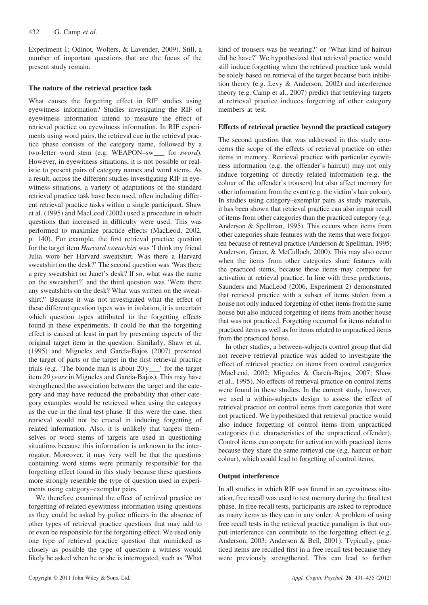Experiment 1; Odinot, Wolters, & Lavender, 2009). Still, a number of important questions that are the focus of the present study remain.

# The nature of the retrieval practice task

What causes the forgetting effect in RIF studies using eyewitness information? Studies investigating the RIF of eyewitness information intend to measure the effect of retrieval practice on eyewitness information. In RIF experiments using word pairs, the retrieval cue in the retrieval practice phase consists of the category name, followed by a two-letter word stem (e.g. WEAPON–sw\_\_\_ for sword). However, in eyewitness situations, it is not possible or realistic to present pairs of category names and word stems. As a result, across the different studies investigating RIF in eyewitness situations, a variety of adaptations of the standard retrieval practice task have been used, often including different retrieval practice tasks within a single participant. Shaw et al. (1995) and MacLeod (2002) used a procedure in which questions that increased in difficulty were used. This was performed to maximize practice effects (MacLeod, 2002, p. 140). For example, the first retrieval practice question for the target item Harvard sweatshirt was 'I think my friend Julia wore her Harvard sweatshirt. Was there a Harvard sweatshirt on the desk?' The second question was 'Was there a grey sweatshirt on Janet's desk? If so, what was the name on the sweatshirt?' and the third question was 'Were there any sweatshirts on the desk? What was written on the sweatshirt?' Because it was not investigated what the effect of these different question types was in isolation, it is uncertain which question types attributed to the forgetting effects found in these experiments. It could be that the forgetting effect is caused at least in part by presenting aspects of the original target item in the question. Similarly, Shaw et al. (1995) and Migueles and García-Bajos (2007) presented the target of parts or the target in the first retrieval practice trials (e.g. 'The blonde man is about  $20y$ , ' for the target item 20 years in Migueles and García-Bajos). This may have strengthened the association between the target and the category and may have reduced the probability that other category examples would be retrieved when using the category as the cue in the final test phase. If this were the case, then retrieval would not be crucial in inducing forgetting of related information. Also, it is unlikely that targets themselves or word stems of targets are used in questioning situations because this information is unknown to the interrogator. Moreover, it may very well be that the questions containing word stems were primarily responsible for the forgetting effect found in this study because these questions more strongly resemble the type of question used in experiments using category–exemplar pairs.

We therefore examined the effect of retrieval practice on forgetting of related eyewitness information using questions as they could be asked by police officers in the absence of other types of retrieval practice questions that may add to or even be responsible for the forgetting effect. We used only one type of retrieval practice question that mimicked as closely as possible the type of question a witness would likely be asked when he or she is interrogated, such as 'What kind of trousers was he wearing?' or 'What kind of haircut did he have?' We hypothesized that retrieval practice would still induce forgetting when the retrieval practice task would be solely based on retrieval of the target because both inhibition theory (e.g. Levy & Anderson, 2002) and interference theory (e.g. Camp et al., 2007) predict that retrieving targets at retrieval practice induces forgetting of other category members at test.

## Effects of retrieval practice beyond the practiced category

The second question that was addressed in this study concerns the scope of the effects of retrieval practice on other items in memory. Retrieval practice with particular eyewitness information (e.g. the offender's haircut) may not only induce forgetting of directly related information (e.g. the colour of the offender's trousers) but also affect memory for other information from the event (e.g. the victim's hair colour). In studies using category–exemplar pairs as study materials, it has been shown that retrieval practice can also impair recall of items from other categories than the practiced category (e.g. Anderson & Spellman, 1995). This occurs when items from other categories share features with the items that were forgotten because of retrieval practice (Anderson & Spellman, 1995; Anderson, Green, & McCulloch, 2000). This may also occur when the items from other categories share features with the practiced items, because these items may compete for activation at retrieval practice. In line with these predictions, Saunders and MacLeod (2006, Experiment 2) demonstrated that retrieval practice with a subset of items stolen from a house not only induced forgetting of other items from the same house but also induced forgetting of items from another house that was not practiced. Forgetting occurred for items related to practiced items as well as for items related to unpracticed items from the practiced house.

In other studies, a between-subjects control group that did not receive retrieval practice was added to investigate the effect of retrieval practice on items from control categories (MacLeod, 2002; Migueles & García-Bajos, 2007; Shaw et al., 1995). No effects of retrieval practice on control items were found in these studies. In the current study, however, we used a within-subjects design to assess the effect of retrieval practice on control items from categories that were not practiced. We hypothesized that retrieval practice would also induce forgetting of control items from unpracticed categories (i.e. characteristics of the unpracticed offender). Control items can compete for activation with practiced items because they share the same retrieval cue (e.g. haircut or hair colour), which could lead to forgetting of control items.

## Output interference

In all studies in which RIF was found in an eyewitness situation, free recall was used to test memory during the final test phase. In free recall tests, participants are asked to reproduce as many items as they can in any order. A problem of using free recall tests in the retrieval practice paradigm is that output interference can contribute to the forgetting effect (e.g. Anderson, 2003; Anderson & Bell, 2001). Typically, practiced items are recalled first in a free recall test because they were previously strengthened. This can lead to further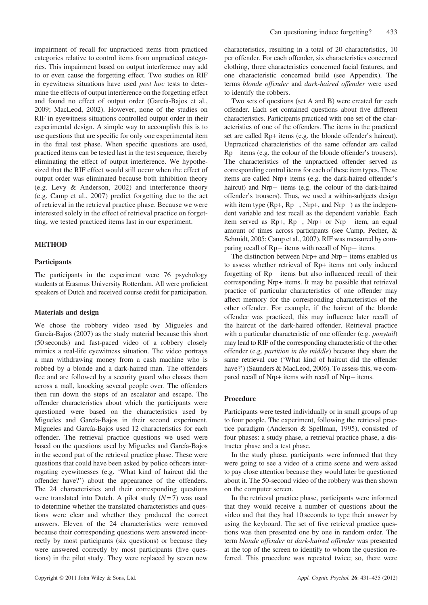impairment of recall for unpracticed items from practiced categories relative to control items from unpracticed categories. This impairment based on output interference may add to or even cause the forgetting effect. Two studies on RIF in eyewitness situations have used post hoc tests to determine the effects of output interference on the forgetting effect and found no effect of output order (García-Bajos et al., 2009; MacLeod, 2002). However, none of the studies on RIF in eyewitness situations controlled output order in their experimental design. A simple way to accomplish this is to use questions that are specific for only one experimental item in the final test phase. When specific questions are used, practiced items can be tested last in the test sequence, thereby eliminating the effect of output interference. We hypothesized that the RIF effect would still occur when the effect of output order was eliminated because both inhibition theory (e.g. Levy & Anderson, 2002) and interference theory (e.g. Camp et al., 2007) predict forgetting due to the act of retrieval in the retrieval practice phase. Because we were interested solely in the effect of retrieval practice on forgetting, we tested practiced items last in our experiment.

# **METHOD**

#### Participants

The participants in the experiment were 76 psychology students at Erasmus University Rotterdam. All were proficient speakers of Dutch and received course credit for participation.

#### Materials and design

We chose the robbery video used by Migueles and García-Bajos (2007) as the study material because this short (50 seconds) and fast-paced video of a robbery closely mimics a real-life eyewitness situation. The video portrays a man withdrawing money from a cash machine who is robbed by a blonde and a dark-haired man. The offenders flee and are followed by a security guard who chases them across a mall, knocking several people over. The offenders then run down the steps of an escalator and escape. The offender characteristics about which the participants were questioned were based on the characteristics used by Migueles and García-Bajos in their second experiment. Migueles and García-Bajos used 12 characteristics for each offender. The retrieval practice questions we used were based on the questions used by Migueles and García-Bajos in the second part of the retrieval practice phase. These were questions that could have been asked by police officers interrogating eyewitnesses (e.g. 'What kind of haircut did the offender have?') about the appearance of the offenders. The 24 characteristics and their corresponding questions were translated into Dutch. A pilot study  $(N=7)$  was used to determine whether the translated characteristics and questions were clear and whether they produced the correct answers. Eleven of the 24 characteristics were removed because their corresponding questions were answered incorrectly by most participants (six questions) or because they were answered correctly by most participants (five questions) in the pilot study. They were replaced by seven new

characteristics, resulting in a total of 20 characteristics, 10 per offender. For each offender, six characteristics concerned clothing, three characteristics concerned facial features, and one characteristic concerned build (see Appendix). The terms blonde offender and dark-haired offender were used to identify the robbers.

Two sets of questions (set A and B) were created for each offender. Each set contained questions about five different characteristics. Participants practiced with one set of the characteristics of one of the offenders. The items in the practiced set are called Rp+ items (e.g. the blonde offender's haircut). Unpracticed characteristics of the same offender are called Rp- items (e.g. the colour of the blonde offender's trousers). The characteristics of the unpracticed offender served as corresponding control items for each of these item types. These items are called Nrp+ items (e.g. the dark-haired offender's haircut) and Nrp- items (e.g. the colour of the dark-haired offender's trousers). Thus, we used a within-subjects design with item type (Rp+, Rp-, Nrp+, and Nrp-) as the independent variable and test recall as the dependent variable. Each item served as Rp+, Rp-, Nrp+ or Nrp- item, an equal amount of times across participants (see Camp, Pecher, & Schmidt, 2005; Camp et al., 2007). RIF was measured by comparing recall of  $Rp$  items with recall of Nrp - items.

The distinction between Nrp+ and Nrp- items enabled us to assess whether retrieval of Rp+ items not only induced forgetting of  $Rp$  items but also influenced recall of their corresponding Nrp+ items. It may be possible that retrieval practice of particular characteristics of one offender may affect memory for the corresponding characteristics of the other offender. For example, if the haircut of the blonde offender was practiced, this may influence later recall of the haircut of the dark-haired offender. Retrieval practice with a particular characteristic of one offender (e.g. ponytail) may lead to RIF of the corresponding characteristic of the other offender (e.g. partition in the middle) because they share the same retrieval cue ('What kind of haircut did the offender have?') (Saunders & MacLeod, 2006). To assess this, we compared recall of Nrp+ items with recall of Nrp-items.

## Procedure

Participants were tested individually or in small groups of up to four people. The experiment, following the retrieval practice paradigm (Anderson & Spellman, 1995), consisted of four phases: a study phase, a retrieval practice phase, a distracter phase and a test phase.

In the study phase, participants were informed that they were going to see a video of a crime scene and were asked to pay close attention because they would later be questioned about it. The 50-second video of the robbery was then shown on the computer screen.

In the retrieval practice phase, participants were informed that they would receive a number of questions about the video and that they had 10 seconds to type their answer by using the keyboard. The set of five retrieval practice questions was then presented one by one in random order. The term blonde offender or dark-haired offender was presented at the top of the screen to identify to whom the question referred. This procedure was repeated twice; so, there were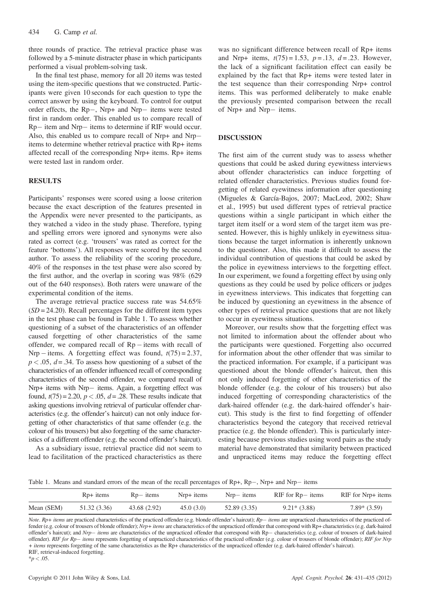three rounds of practice. The retrieval practice phase was followed by a 5-minute distracter phase in which participants performed a visual problem-solving task.

In the final test phase, memory for all 20 items was tested using the item-specific questions that we constructed. Participants were given 10 seconds for each question to type the correct answer by using the keyboard. To control for output order effects, the  $Rp-$ , Nrp+ and Nrp- items were tested first in random order. This enabled us to compare recall of  $Rp-$  item and Nrp- items to determine if RIF would occur. Also, this enabled us to compare recall of Nrp+ and Nrp items to determine whether retrieval practice with Rp+ items affected recall of the corresponding Nrp+ items. Rp+ items were tested last in random order.

## RESULTS

Participants' responses were scored using a loose criterion because the exact description of the features presented in the Appendix were never presented to the participants, as they watched a video in the study phase. Therefore, typing and spelling errors were ignored and synonyms were also rated as correct (e.g. 'trousers' was rated as correct for the feature 'bottoms'). All responses were scored by the second author. To assess the reliability of the scoring procedure, 40% of the responses in the test phase were also scored by the first author, and the overlap in scoring was 98% (629 out of the 640 responses). Both raters were unaware of the experimental condition of the items.

The average retrieval practice success rate was 54.65%  $(SD = 24.20)$ . Recall percentages for the different item types in the test phase can be found in Table 1. To assess whether questioning of a subset of the characteristics of an offender caused forgetting of other characteristics of the same offender, we compared recall of  $Rp - items$  with recall of Nrp – items. A forgetting effect was found,  $t(75) = 2.37$ ,  $p < .05$ ,  $d = .34$ . To assess how questioning of a subset of the characteristics of an offender influenced recall of corresponding characteristics of the second offender, we compared recall of Nrp+ items with Nrp- items. Again, a forgetting effect was found,  $t(75) = 2.20$ ,  $p < .05$ ,  $d = .28$ . These results indicate that asking questions involving retrieval of particular offender characteristics (e.g. the offender's haircut) can not only induce forgetting of other characteristics of that same offender (e.g. the colour of his trousers) but also forgetting of the same characteristics of a different offender (e.g. the second offender's haircut).

As a subsidiary issue, retrieval practice did not seem to lead to facilitation of the practiced characteristics as there was no significant difference between recall of Rp+ items and Nrp+ items,  $t(75) = 1.53$ ,  $p = .13$ ,  $d = .23$ . However, the lack of a significant facilitation effect can easily be explained by the fact that Rp+ items were tested later in the test sequence than their corresponding Nrp+ control items. This was performed deliberately to make enable the previously presented comparison between the recall of Nrp+ and Nrp- items.

# DISCUSSION

The first aim of the current study was to assess whether questions that could be asked during eyewitness interviews about offender characteristics can induce forgetting of related offender characteristics. Previous studies found forgetting of related eyewitness information after questioning (Migueles & García-Bajos, 2007; MacLeod, 2002; Shaw et al., 1995) but used different types of retrieval practice questions within a single participant in which either the target item itself or a word stem of the target item was presented. However, this is highly unlikely in eyewitness situations because the target information is inherently unknown to the questioner. Also, this made it difficult to assess the individual contribution of questions that could be asked by the police in eyewitness interviews to the forgetting effect. In our experiment, we found a forgetting effect by using only questions as they could be used by police officers or judges in eyewitness interviews. This indicates that forgetting can be induced by questioning an eyewitness in the absence of other types of retrieval practice questions that are not likely to occur in eyewitness situations.

Moreover, our results show that the forgetting effect was not limited to information about the offender about who the participants were questioned. Forgetting also occurred for information about the other offender that was similar to the practiced information. For example, if a participant was questioned about the blonde offender's haircut, then this not only induced forgetting of other characteristics of the blonde offender (e.g. the colour of his trousers) but also induced forgetting of corresponding characteristics of the dark-haired offender (e.g. the dark-haired offender's haircut). This study is the first to find forgetting of offender characteristics beyond the category that received retrieval practice (e.g. the blonde offender). This is particularly interesting because previous studies using word pairs as the study material have demonstrated that similarity between practiced and unpracticed items may reduce the forgetting effect

Table 1. Means and standard errors of the mean of the recall percentages of  $Rp+$ ,  $Rp-$ ,  $Nrp+$  and  $Nrp-$  items

|            | $Rp+$ items  | $Rp-$ items  | $Nrp+$ items | $Nrp-$ items | $RIF$ for $Rp-$ items | RIF for Nrp+ items |
|------------|--------------|--------------|--------------|--------------|-----------------------|--------------------|
| Mean (SEM) | 51.32 (3.36) | 43.68 (2.92) | 45.0(3.0)    | 52.89 (3.35) | $9.21*(3.88)$         | $7.89*(3.59)$      |

Note.  $Rp+ items$  are practiced characteristics of the practiced offender (e.g. blonde offender's haircut);  $Rp- items$  are unpracticed characteristics of the practiced offender (e.g. colour of trousers of blonde offender);  $Nrp + items$  are characteristics of the unpracticed offender that correspond with Rp+ characteristics (e.g. dark-haired offender's haircut); and Nrp-items are characteristics of the unpracticed offender that correspond with Rp-characteristics (e.g. colour of trousers of dark-haired offender). RIF for Rp- items represents forgetting of unpracticed characteristics of the practiced offender (e.g. colour of trousers of blonde offender); RIF for Nrp + items represents forgetting of the same characteristics as the Rp+ characteristics of the unpracticed offender (e.g. dark-haired offender's haircut). RIF, retrieval-induced forgetting.

 $*_{p}$  < .05.